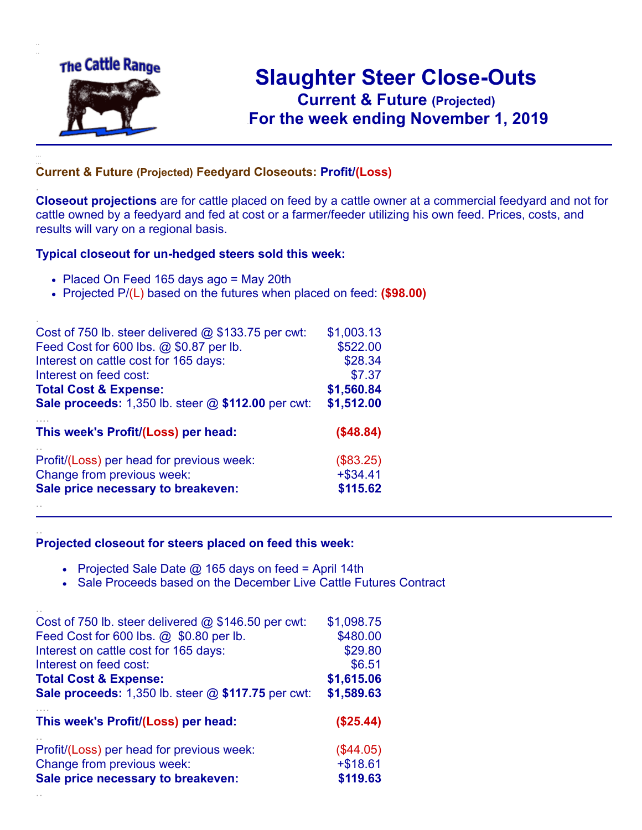

.

..

..

## **Slaughter Steer Close-Outs Current & Future (Projected)** .**For the week ending November 1, 2019**

## **Current & Future (Projected) Feedyard Closeouts: Profit/(Loss)**

**Closeout projections** are for cattle placed on feed by a cattle owner at a commercial feedyard and not for cattle owned by a feedyard and fed at cost or a farmer/feeder utilizing his own feed. Prices, costs, and results will vary on a regional basis.

## **Typical closeout for un-hedged steers sold this week:**

- Placed On Feed 165 days ago = May 20th
- Projected P/(L) based on the futures when placed on feed: **(\$98.00)**

| Cost of 750 lb. steer delivered $@$ \$133.75 per cwt: | \$1,003.13  |
|-------------------------------------------------------|-------------|
| Feed Cost for 600 lbs. @ \$0.87 per lb.               | \$522.00    |
| Interest on cattle cost for 165 days:                 | \$28.34     |
| Interest on feed cost:                                | \$7.37      |
| <b>Total Cost &amp; Expense:</b>                      | \$1,560.84  |
| Sale proceeds: 1,350 lb. steer @ \$112.00 per cwt:    | \$1,512.00  |
| This week's Profit/(Loss) per head:                   | (\$48.84)   |
| Profit/(Loss) per head for previous week:             | (\$83.25)   |
| Change from previous week:                            | $+$ \$34.41 |
| Sale price necessary to breakeven:                    | \$115.62    |
|                                                       |             |

## **Projected closeout for steers placed on feed this week:**

- Projected Sale Date  $@$  165 days on feed = April 14th
- Sale Proceeds based on the December Live Cattle Futures Contract

| Cost of 750 lb. steer delivered $@$ \$146.50 per cwt: | \$1,098.75 |
|-------------------------------------------------------|------------|
| Feed Cost for 600 lbs. @ \$0.80 per lb.               | \$480.00   |
| Interest on cattle cost for 165 days:                 | \$29.80    |
| Interest on feed cost:                                | \$6.51     |
| <b>Total Cost &amp; Expense:</b>                      | \$1,615.06 |
| Sale proceeds: 1,350 lb. steer @ \$117.75 per cwt:    | \$1,589.63 |
|                                                       |            |
| This week's Profit/(Loss) per head:                   | (\$25.44)  |
| Profit/(Loss) per head for previous week:             | (\$44.05)  |
| Change from previous week:                            | $+ $18.61$ |
| Sale price necessary to breakeven:                    | \$119.63   |